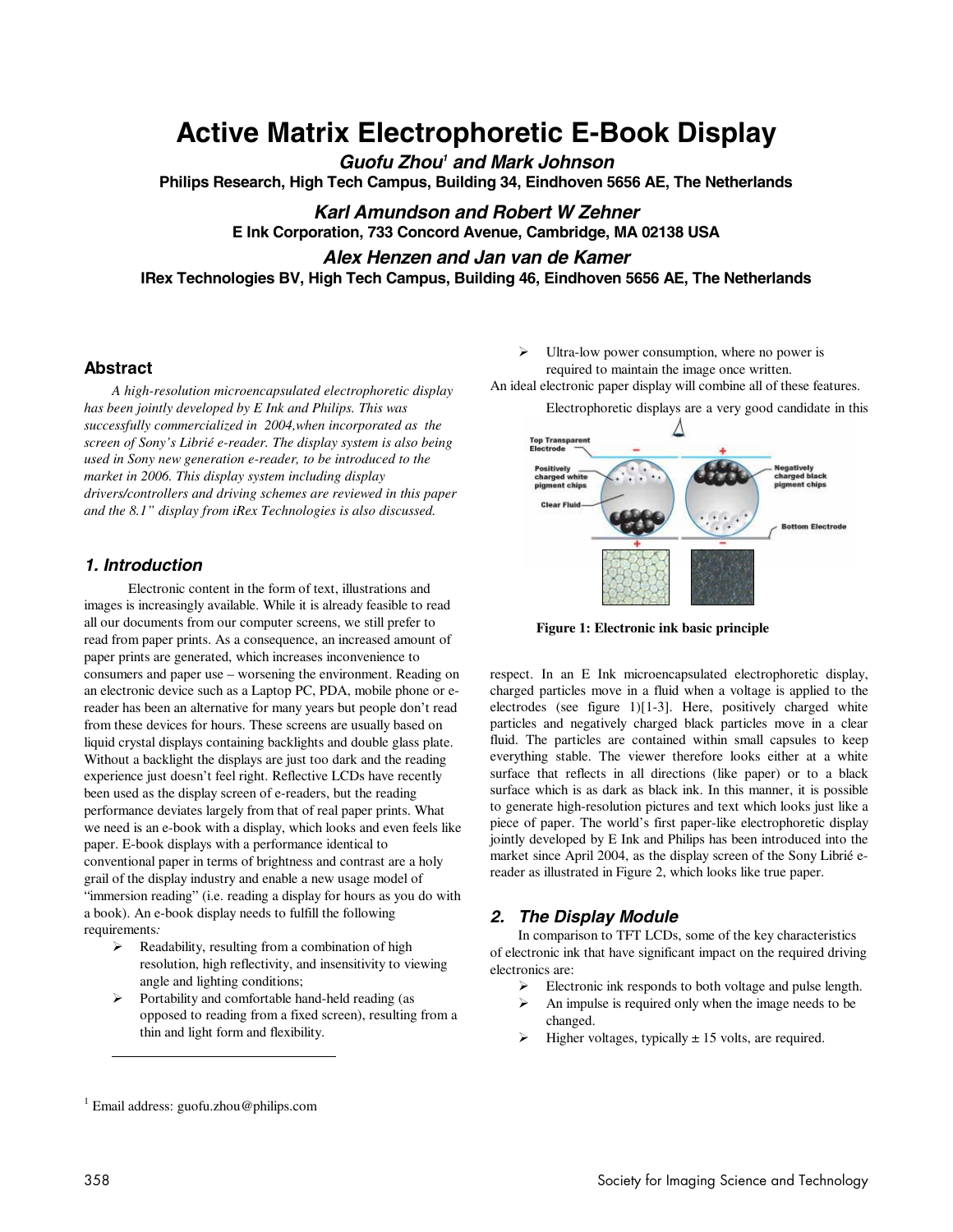# **Active Matrix Electrophoretic E-Book Display**

**Guofu Zhou<sup>1</sup> and Mark Johnson** 

**Philips Research, High Tech Campus, Building 34, Eindhoven 5656 AE, The Netherlands** 

**Karl Amundson and Robert W Zehner E Ink Corporation, 733 Concord Avenue, Cambridge, MA 02138 USA Alex Henzen and Jan van de Kamer** 

**IRex Technologies BV, High Tech Campus, Building 46, Eindhoven 5656 AE, The Netherlands** 

# **Abstract**

*A high-resolution microencapsulated electrophoretic display has been jointly developed by E Ink and Philips. This was successfully commercialized in 2004,when incorporated as the screen of Sony's Librié e-reader. The display system is also being used in Sony new generation e-reader, to be introduced to the market in 2006. This display system including display drivers/controllers and driving schemes are reviewed in this paper and the 8.1" display from iRex Technologies is also discussed.* 

### **1. Introduction**

 Electronic content in the form of text, illustrations and images is increasingly available. While it is already feasible to read all our documents from our computer screens, we still prefer to read from paper prints. As a consequence, an increased amount of paper prints are generated, which increases inconvenience to consumers and paper use – worsening the environment. Reading on an electronic device such as a Laptop PC, PDA, mobile phone or ereader has been an alternative for many years but people don't read from these devices for hours. These screens are usually based on liquid crystal displays containing backlights and double glass plate. Without a backlight the displays are just too dark and the reading experience just doesn't feel right. Reflective LCDs have recently been used as the display screen of e-readers, but the reading performance deviates largely from that of real paper prints. What we need is an e-book with a display, which looks and even feels like paper. E-book displays with a performance identical to conventional paper in terms of brightness and contrast are a holy grail of the display industry and enable a new usage model of "immersion reading" (i.e. reading a display for hours as you do with a book). An e-book display needs to fulfill the following requirements*:* 

- $\triangleright$  Readability, resulting from a combination of high resolution, high reflectivity, and insensitivity to viewing angle and lighting conditions;
- $\triangleright$  Portability and comfortable hand-held reading (as opposed to reading from a fixed screen), resulting from a thin and light form and flexibility.
- $\triangleright$  Ultra-low power consumption, where no power is required to maintain the image once written.
- An ideal electronic paper display will combine all of these features.

Electrophoretic displays are a very good candidate in this



**Figure 1: Electronic ink basic principle** 

respect. In an E Ink microencapsulated electrophoretic display, charged particles move in a fluid when a voltage is applied to the electrodes (see figure 1)[1-3]. Here, positively charged white particles and negatively charged black particles move in a clear fluid. The particles are contained within small capsules to keep everything stable. The viewer therefore looks either at a white surface that reflects in all directions (like paper) or to a black surface which is as dark as black ink. In this manner, it is possible to generate high-resolution pictures and text which looks just like a piece of paper. The world's first paper-like electrophoretic display jointly developed by E Ink and Philips has been introduced into the market since April 2004, as the display screen of the Sony Librié ereader as illustrated in Figure 2, which looks like true paper.

## **2. The Display Module**

In comparison to TFT LCDs, some of the key characteristics of electronic ink that have significant impact on the required driving electronics are:

- Electronic ink responds to both voltage and pulse length.
- $\triangleright$  An impulse is required only when the image needs to be changed.
- Higher voltages, typically  $\pm$  15 volts, are required.

 $\overline{a}$ 

<sup>1</sup> Email address: guofu.zhou@philips.com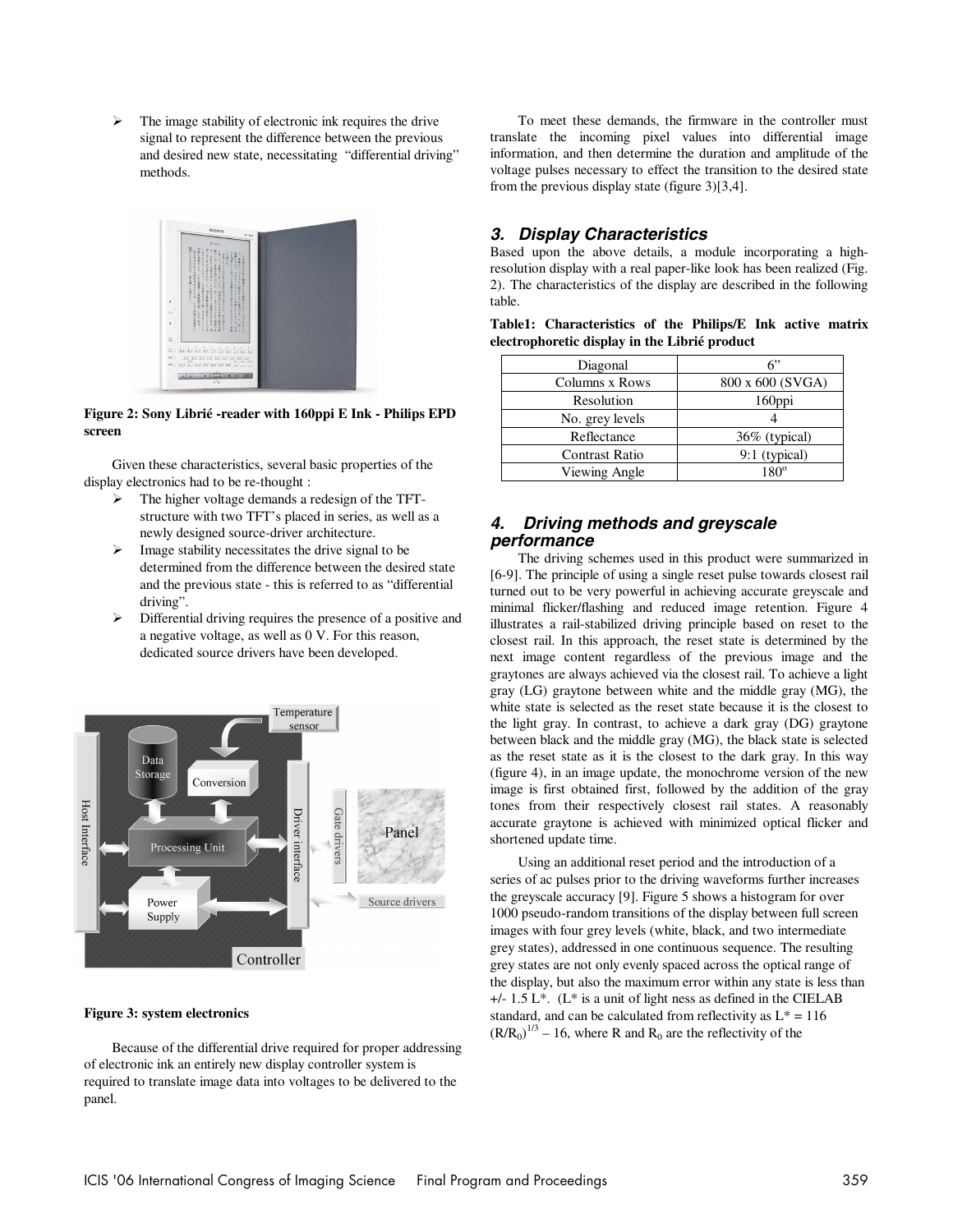$\triangleright$  The image stability of electronic ink requires the drive signal to represent the difference between the previous and desired new state, necessitating "differential driving" methods.



#### **Figure 2: Sony Librié -reader with 160ppi E Ink - Philips EPD screen**

Given these characteristics, several basic properties of the display electronics had to be re-thought :

- The higher voltage demands a redesign of the TFTstructure with two TFT's placed in series, as well as a newly designed source-driver architecture.
- Image stability necessitates the drive signal to be determined from the difference between the desired state and the previous state - this is referred to as "differential driving".
- $\triangleright$  Differential driving requires the presence of a positive and a negative voltage, as well as 0 V. For this reason, dedicated source drivers have been developed.



#### **Figure 3: system electronics**

Because of the differential drive required for proper addressing of electronic ink an entirely new display controller system is required to translate image data into voltages to be delivered to the panel.

To meet these demands, the firmware in the controller must translate the incoming pixel values into differential image information, and then determine the duration and amplitude of the voltage pulses necessary to effect the transition to the desired state from the previous display state (figure 3)[3,4].

# **3. Display Characteristics**

Based upon the above details, a module incorporating a highresolution display with a real paper-like look has been realized (Fig. 2). The characteristics of the display are described in the following table.

| Table1: Characteristics of the Philips/E Ink active matrix |  |  |  |  |
|------------------------------------------------------------|--|--|--|--|
| electrophoretic display in the Librié product              |  |  |  |  |

| Diagonal        | 6"               |
|-----------------|------------------|
| Columns x Rows  | 800 x 600 (SVGA) |
| Resolution      | 160ppi           |
| No. grey levels |                  |
| Reflectance     | 36% (typical)    |
| Contrast Ratio  | $9:1$ (typical)  |
| Viewing Angle   | $180^\circ$      |

## **4. Driving methods and greyscale performance**

The driving schemes used in this product were summarized in [6-9]. The principle of using a single reset pulse towards closest rail turned out to be very powerful in achieving accurate greyscale and minimal flicker/flashing and reduced image retention. Figure 4 illustrates a rail-stabilized driving principle based on reset to the closest rail. In this approach, the reset state is determined by the next image content regardless of the previous image and the graytones are always achieved via the closest rail. To achieve a light gray (LG) graytone between white and the middle gray (MG), the white state is selected as the reset state because it is the closest to the light gray. In contrast, to achieve a dark gray (DG) graytone between black and the middle gray (MG), the black state is selected as the reset state as it is the closest to the dark gray. In this way (figure 4), in an image update, the monochrome version of the new image is first obtained first, followed by the addition of the gray tones from their respectively closest rail states. A reasonably accurate graytone is achieved with minimized optical flicker and shortened update time.

Using an additional reset period and the introduction of a series of ac pulses prior to the driving waveforms further increases the greyscale accuracy [9]. Figure 5 shows a histogram for over 1000 pseudo-random transitions of the display between full screen images with four grey levels (white, black, and two intermediate grey states), addressed in one continuous sequence. The resulting grey states are not only evenly spaced across the optical range of the display, but also the maximum error within any state is less than +/- 1.5 L\*. (L\* is a unit of light ness as defined in the CIELAB standard, and can be calculated from reflectivity as  $L^* = 116$  $(R/R_0)^{1/3}$  – 16, where R and R<sub>0</sub> are the reflectivity of the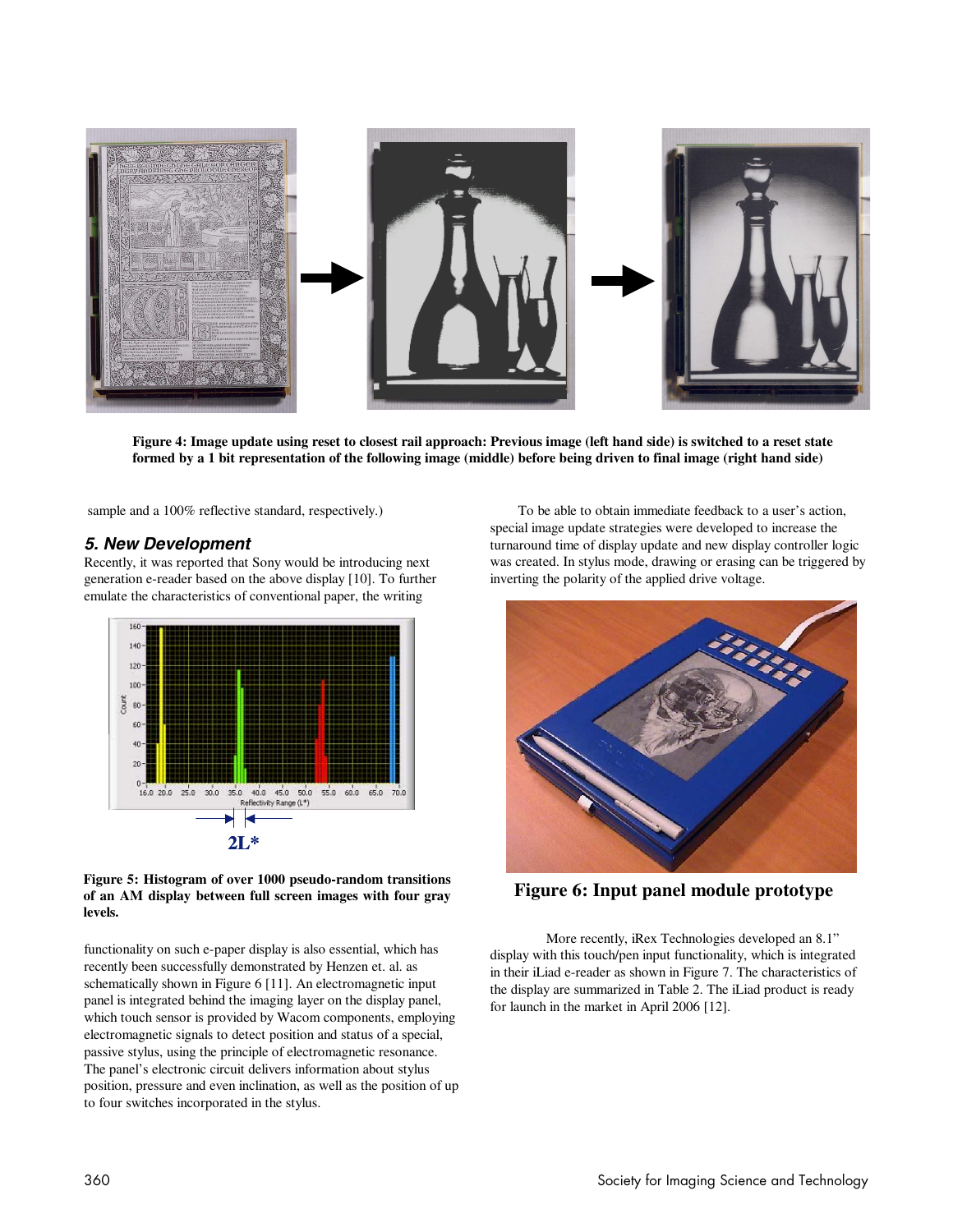

**Figure 4: Image update using reset to closest rail approach: Previous image (left hand side) is switched to a reset state formed by a 1 bit representation of the following image (middle) before being driven to final image (right hand side)**

sample and a 100% reflective standard, respectively.)

### **5. New Development**

Recently, it was reported that Sony would be introducing next generation e-reader based on the above display [10]. To further emulate the characteristics of conventional paper, the writing



#### **Figure 5: Histogram of over 1000 pseudo-random transitions of an AM display between full screen images with four gray levels.**

functionality on such e-paper display is also essential, which has recently been successfully demonstrated by Henzen et. al. as schematically shown in Figure 6 [11]. An electromagnetic input panel is integrated behind the imaging layer on the display panel, which touch sensor is provided by Wacom components, employing electromagnetic signals to detect position and status of a special, passive stylus, using the principle of electromagnetic resonance. The panel's electronic circuit delivers information about stylus position, pressure and even inclination, as well as the position of up to four switches incorporated in the stylus.

To be able to obtain immediate feedback to a user's action, special image update strategies were developed to increase the turnaround time of display update and new display controller logic was created. In stylus mode, drawing or erasing can be triggered by inverting the polarity of the applied drive voltage.



**Figure 6: Input panel module prototype** 

 More recently, iRex Technologies developed an 8.1" display with this touch/pen input functionality, which is integrated in their iLiad e-reader as shown in Figure 7. The characteristics of the display are summarized in Table 2. The iLiad product is ready for launch in the market in April 2006 [12].